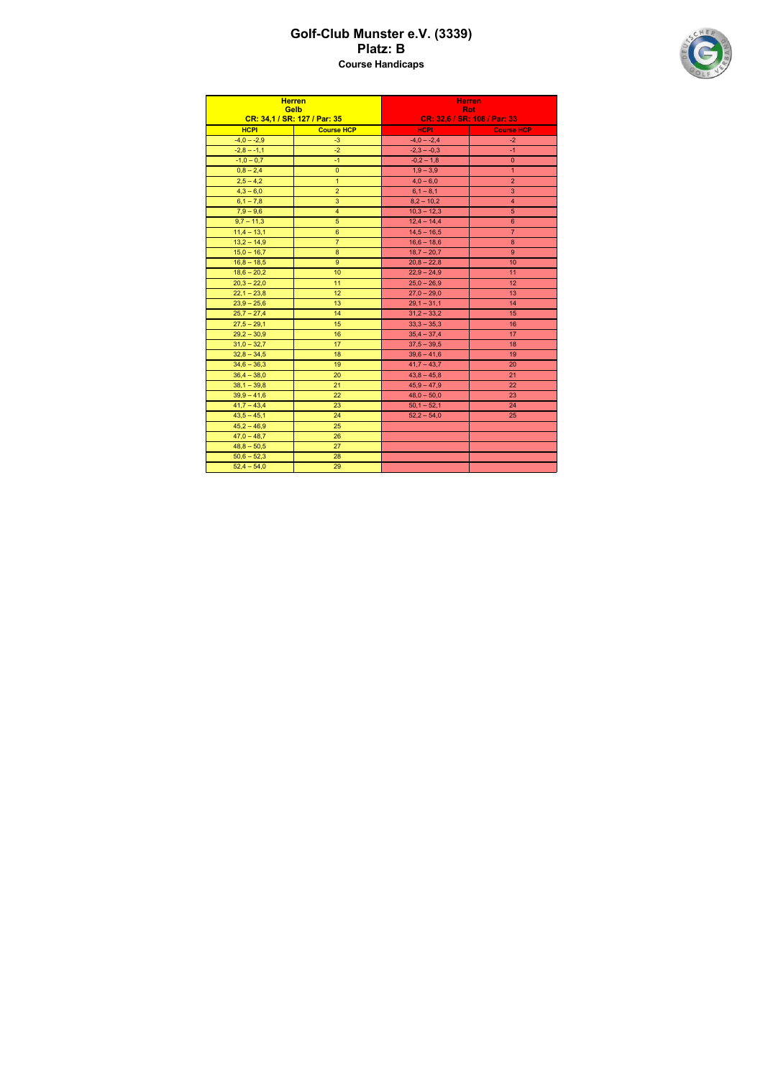## Golf-Club Munster e.V. (3339) Platz: B Course Handicaps



| <b>Herren</b><br><b>Gelb</b><br>CR: 34,1 / SR: 127 / Par: 35 |                   | <b>Herren</b><br><b>Rot</b><br>CR: 32,6 / SR: 108 / Par: 33 |                   |
|--------------------------------------------------------------|-------------------|-------------------------------------------------------------|-------------------|
| <b>HCPI</b>                                                  | <b>Course HCP</b> | <b>HCPI</b>                                                 | <b>Course HCP</b> |
| $-4,0 - -2,9$                                                | $-3$              | $-4,0 - -2,4$                                               | $-2$              |
| $-2,8 - -1,1$                                                | $-2$              | $-2,3 - -0,3$                                               | $-1$              |
| $-1,0-0,7$                                                   | $-1$              | $-0,2-1,8$                                                  | $\mathbf{0}$      |
| $0,8 - 2,4$                                                  | $\mathbf{0}$      | $1,9 - 3,9$                                                 | $\mathbf{1}$      |
| $2,5 - 4,2$                                                  | $\mathbf{1}$      | $4,0 - 6,0$                                                 | $\overline{2}$    |
| $4,3 - 6,0$                                                  | $\overline{2}$    | $6,1 - 8,1$                                                 | 3                 |
| $6,1 - 7,8$                                                  | 3                 | $8,2 - 10,2$                                                | $\overline{4}$    |
| $7,9 - 9,6$                                                  | $\overline{4}$    | $10,3 - 12,3$                                               | 5                 |
| $9,7 - 11,3$                                                 | 5                 | $12,4 - 14,4$                                               | 6                 |
| $11,4 - 13,1$                                                | $6\phantom{1}6$   | $14,5 - 16,5$                                               | $\overline{7}$    |
| $13,2 - 14,9$                                                | $\overline{7}$    | $16,6 - 18,6$                                               | 8                 |
| $15,0 - 16,7$                                                | $\boldsymbol{8}$  | $18,7 - 20,7$                                               | 9                 |
| $16,8 - 18,5$                                                | $\overline{9}$    | $20,8 - 22,8$                                               | 10                |
| $18,6 - 20,2$                                                | 10                | $22,9 - 24,9$                                               | 11                |
| $20,3 - 22,0$                                                | 11                | $25,0 - 26,9$                                               | 12                |
| $22,1 - 23,8$                                                | 12                | $27,0 - 29,0$                                               | 13                |
| $23.9 - 25.6$                                                | 13                | $29,1 - 31,1$                                               | 14                |
| $25,7 - 27,4$                                                | 14                | $31,2 - 33,2$                                               | 15                |
| $27,5 - 29,1$                                                | 15                | $33,3 - 35,3$                                               | 16                |
| $29,2 - 30,9$                                                | 16                | $35,4 - 37,4$                                               | 17                |
| $31,0 - 32,7$                                                | 17                | $37,5 - 39,5$                                               | 18                |
| $32,8 - 34,5$                                                | 18                | $39,6 - 41,6$                                               | 19                |
| $34,6 - 36,3$                                                | 19                | $41,7 - 43,7$                                               | 20                |
| $36,4 - 38,0$                                                | 20                | $43,8 - 45,8$                                               | 21                |
| $38,1 - 39,8$                                                | 21                | $45,9 - 47,9$                                               | 22                |
| $39,9 - 41,6$                                                | 22                | $48,0 - 50,0$                                               | 23                |
| $41,7 - 43,4$                                                | 23                | $50,1 - 52,1$                                               | 24                |
| $43,5 - 45,1$                                                | 24                | $52,2 - 54,0$                                               | 25                |
| $45,2 - 46,9$                                                | 25                |                                                             |                   |
| $47,0 - 48,7$                                                | 26                |                                                             |                   |
| $48,8 - 50,5$                                                | 27                |                                                             |                   |
| $50,6 - 52,3$                                                | 28                |                                                             |                   |
| $52,4 - 54,0$                                                | 29                |                                                             |                   |